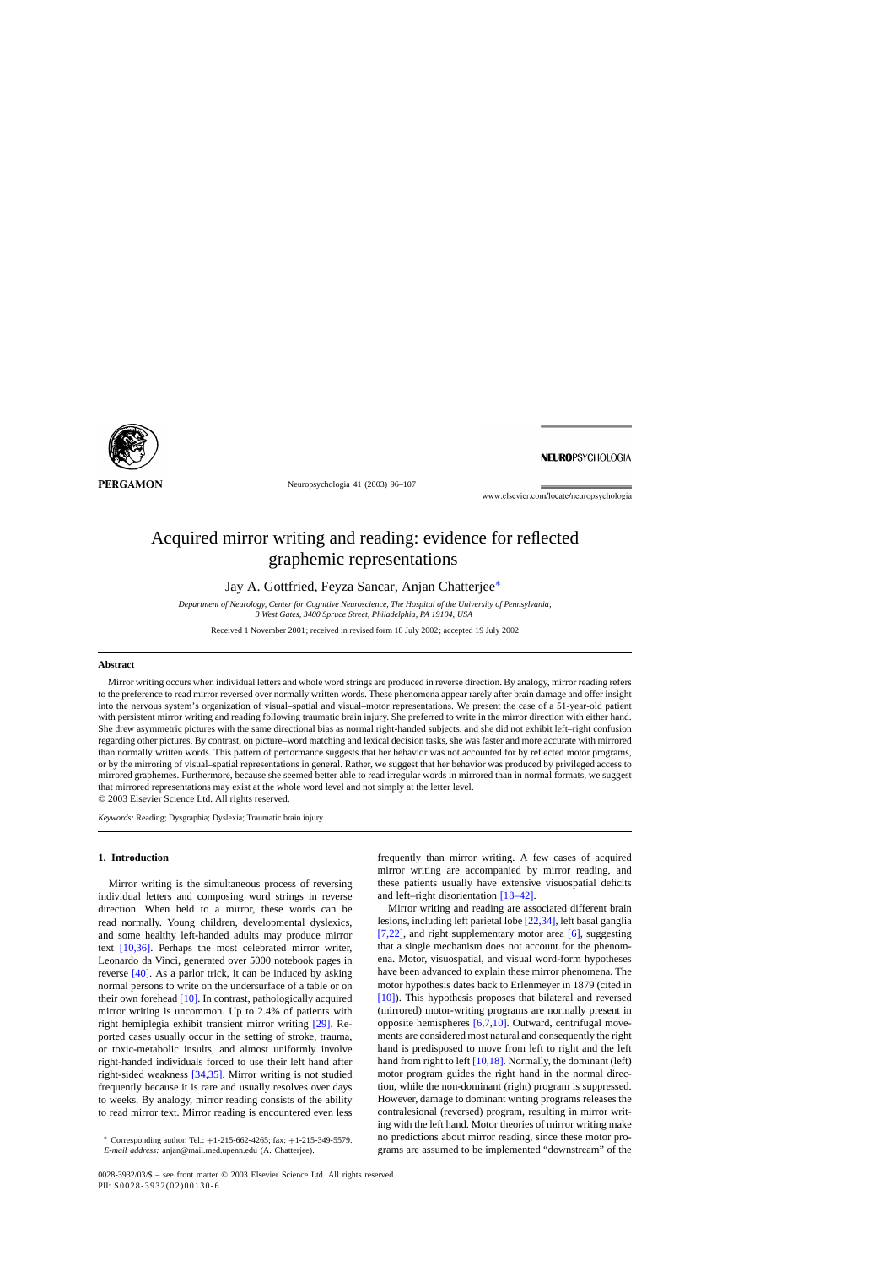

Neuropsychologia 41 (2003) 96–107

NEUROPSYCHOLOGIA

www.elsevier.com/locate/neuropsychologia

# Acquired mirror writing and reading: evidence for reflected graphemic representations

Jay A. Gottfried, Feyza Sancar, Anjan Chatterjee∗

*Department of Neurology, Center for Cognitive Neuroscience, The Hospital of the University of Pennsylvania, 3 West Gates, 3400 Spruce Street, Philadelphia, PA 19104, USA*

Received 1 November 2001; received in revised form 18 July 2002; accepted 19 July 2002

#### **Abstract**

Mirror writing occurs when individual letters and whole word strings are produced in reverse direction. By analogy, mirror reading refers to the preference to read mirror reversed over normally written words. These phenomena appear rarely after brain damage and offer insight into the nervous system's organization of visual–spatial and visual–motor representations. We present the case of a 51-year-old patient with persistent mirror writing and reading following traumatic brain injury. She preferred to write in the mirror direction with either hand. She drew asymmetric pictures with the same directional bias as normal right-handed subjects, and she did not exhibit left–right confusion regarding other pictures. By contrast, on picture–word matching and lexical decision tasks, she was faster and more accurate with mirrored than normally written words. This pattern of performance suggests that her behavior was not accounted for by reflected motor programs, or by the mirroring of visual–spatial representations in general. Rather, we suggest that her behavior was produced by privileged access to mirrored graphemes. Furthermore, because she seemed better able to read irregular words in mirrored than in normal formats, we suggest that mirrored representations may exist at the whole word level and not simply at the letter level. © 2003 Elsevier Science Ltd. All rights reserved.

*Keywords:* Reading; Dysgraphia; Dyslexia; Traumatic brain injury

# **1. Introduction**

Mirror writing is the simultaneous process of reversing individual letters and composing word strings in reverse direction. When held to a mirror, these words can be read normally. Young children, developmental dyslexics, and some healthy left-handed adults may produce mirror text [\[10,36\].](#page-10-0) Perhaps the most celebrated mirror writer, Leonardo da Vinci, generated over 5000 notebook pages in reverse [\[40\].](#page-11-0) As a parlor trick, it can be induced by asking normal persons to write on the undersurface of a table or on their own forehead  $[10]$ . In contrast, pathologically acquired mirror writing is uncommon. Up to 2.4% of patients with right hemiplegia exhibit transient mirror writing [\[29\].](#page-11-0) Reported cases usually occur in the setting of stroke, trauma, or toxic-metabolic insults, and almost uniformly involve right-handed individuals forced to use their left hand after right-sided weakness [\[34,35\].](#page-11-0) Mirror writing is not studied frequently because it is rare and usually resolves over days to weeks. By analogy, mirror reading consists of the ability to read mirror text. Mirror reading is encountered even less

lesions, including left parietal lobe [\[22,34\], l](#page-11-0)eft basal ganglia [\[7,22\],](#page-10-0) and right supplementary motor area  $[6]$ , suggesting that a single mechanism does not account for the phenomena. Motor, visuospatial, and visual word-form hypotheses have been advanced to explain these mirror phenomena. The

and left–right disorientation [\[18–42\].](#page-11-0)

motor hypothesis dates back to Erlenmeyer in 1879 (cited in [\[10\]\).](#page-10-0) This hypothesis proposes that bilateral and reversed (mirrored) motor-writing programs are normally present in opposite hemispheres [\[6,7,10\].](#page-10-0) Outward, centrifugal movements are considered most natural and consequently the right hand is predisposed to move from left to right and the left hand from right to left [\[10,18\]. N](#page-10-0)ormally, the dominant (left) motor program guides the right hand in the normal direction, while the non-dominant (right) program is suppressed. However, damage to dominant writing programs releases the contralesional (reversed) program, resulting in mirror writing with the left hand. Motor theories of mirror writing make no predictions about mirror reading, since these motor programs are assumed to be implemented "downstream" of the

frequently than mirror writing. A few cases of acquired mirror writing are accompanied by mirror reading, and these patients usually have extensive visuospatial deficits

Mirror writing and reading are associated different brain

<sup>∗</sup> Corresponding author. Tel.: +1-215-662-4265; fax: +1-215-349-5579. *E-mail address:* anjan@mail.med.upenn.edu (A. Chatterjee).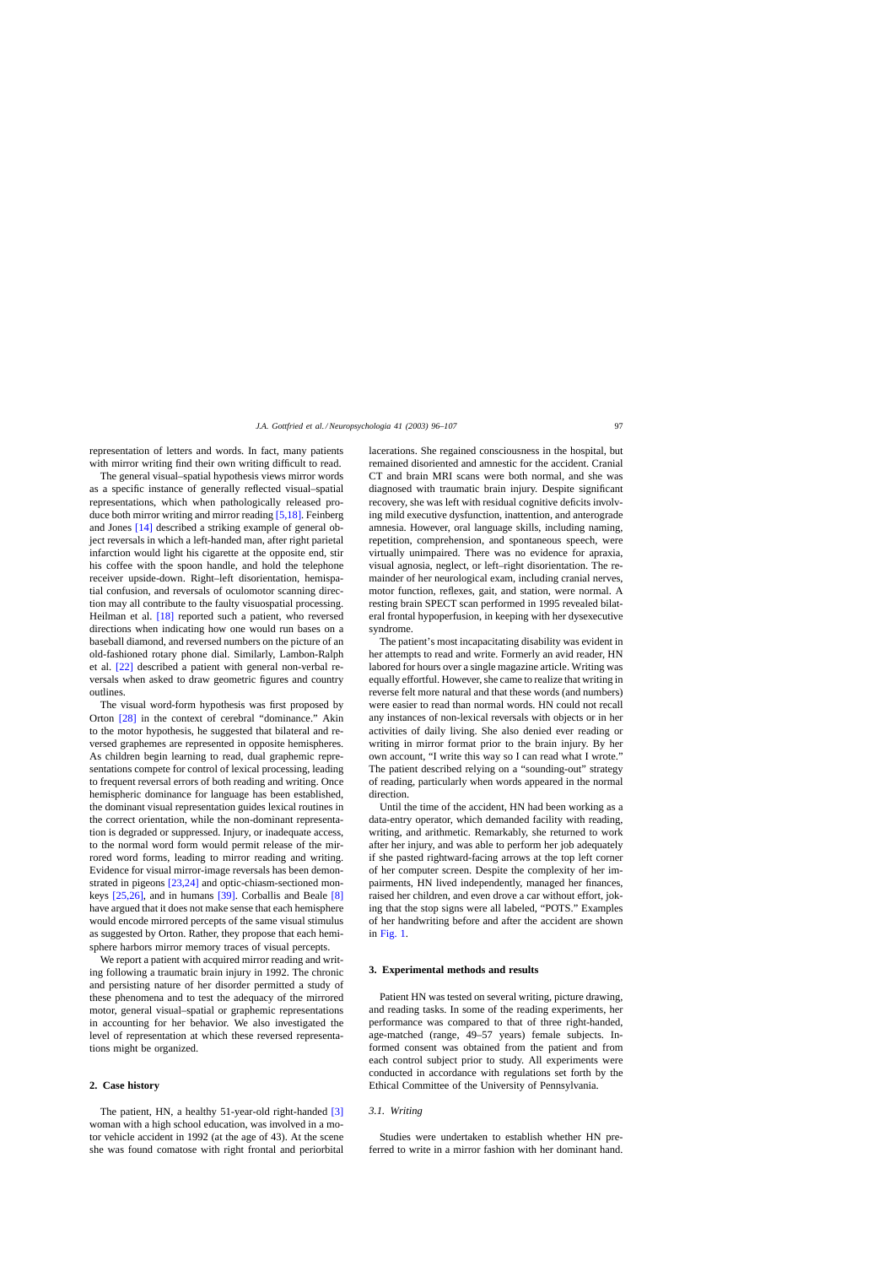representation of letters and words. In fact, many patients with mirror writing find their own writing difficult to read.

The general visual–spatial hypothesis views mirror words as a specific instance of generally reflected visual–spatial representations, which when pathologically released produce both mirror writing and mirror reading [\[5,18\]. F](#page-10-0)einberg and Jones [\[14\]](#page-10-0) described a striking example of general object reversals in which a left-handed man, after right parietal infarction would light his cigarette at the opposite end, stir his coffee with the spoon handle, and hold the telephone receiver upside-down. Right–left disorientation, hemispatial confusion, and reversals of oculomotor scanning direction may all contribute to the faulty visuospatial processing. Heilman et al. [\[18\]](#page-11-0) reported such a patient, who reversed directions when indicating how one would run bases on a baseball diamond, and reversed numbers on the picture of an old-fashioned rotary phone dial. Similarly, Lambon-Ralph et al. [\[22\]](#page-11-0) described a patient with general non-verbal reversals when asked to draw geometric figures and country outlines.

The visual word-form hypothesis was first proposed by Orton [\[28\]](#page-11-0) in the context of cerebral "dominance." Akin to the motor hypothesis, he suggested that bilateral and reversed graphemes are represented in opposite hemispheres. As children begin learning to read, dual graphemic representations compete for control of lexical processing, leading to frequent reversal errors of both reading and writing. Once hemispheric dominance for language has been established, the dominant visual representation guides lexical routines in the correct orientation, while the non-dominant representation is degraded or suppressed. Injury, or inadequate access, to the normal word form would permit release of the mirrored word forms, leading to mirror reading and writing. Evidence for visual mirror-image reversals has been demonstrated in pigeons [\[23,24\]](#page-11-0) and optic-chiasm-sectioned monkeys [\[25,26\],](#page-11-0) and in humans [\[39\].](#page-11-0) Corballis and Beale [\[8\]](#page-10-0) have argued that it does not make sense that each hemisphere would encode mirrored percepts of the same visual stimulus as suggested by Orton. Rather, they propose that each hemisphere harbors mirror memory traces of visual percepts.

We report a patient with acquired mirror reading and writing following a traumatic brain injury in 1992. The chronic and persisting nature of her disorder permitted a study of these phenomena and to test the adequacy of the mirrored motor, general visual–spatial or graphemic representations in accounting for her behavior. We also investigated the level of representation at which these reversed representations might be organized.

## **2. Case history**

The patient, HN, a healthy 51-year-old right-handed [\[3\]](#page-10-0) woman with a high school education, was involved in a motor vehicle accident in 1992 (at the age of 43). At the scene she was found comatose with right frontal and periorbital

lacerations. She regained consciousness in the hospital, but remained disoriented and amnestic for the accident. Cranial CT and brain MRI scans were both normal, and she was diagnosed with traumatic brain injury. Despite significant recovery, she was left with residual cognitive deficits involving mild executive dysfunction, inattention, and anterograde amnesia. However, oral language skills, including naming, repetition, comprehension, and spontaneous speech, were virtually unimpaired. There was no evidence for apraxia, visual agnosia, neglect, or left–right disorientation. The remainder of her neurological exam, including cranial nerves, motor function, reflexes, gait, and station, were normal. A resting brain SPECT scan performed in 1995 revealed bilateral frontal hypoperfusion, in keeping with her dysexecutive syndrome.

The patient's most incapacitating disability was evident in her attempts to read and write. Formerly an avid reader, HN labored for hours over a single magazine article. Writing was equally effortful. However, she came to realize that writing in reverse felt more natural and that these words (and numbers) were easier to read than normal words. HN could not recall any instances of non-lexical reversals with objects or in her activities of daily living. She also denied ever reading or writing in mirror format prior to the brain injury. By her own account, "I write this way so I can read what I wrote." The patient described relying on a "sounding-out" strategy of reading, particularly when words appeared in the normal direction.

Until the time of the accident, HN had been working as a data-entry operator, which demanded facility with reading, writing, and arithmetic. Remarkably, she returned to work after her injury, and was able to perform her job adequately if she pasted rightward-facing arrows at the top left corner of her computer screen. Despite the complexity of her impairments, HN lived independently, managed her finances, raised her children, and even drove a car without effort, joking that the stop signs were all labeled, "POTS." Examples of her handwriting before and after the accident are shown in [Fig. 1.](#page-2-0)

#### **3. Experimental methods and results**

Patient HN was tested on several writing, picture drawing, and reading tasks. In some of the reading experiments, her performance was compared to that of three right-handed, age-matched (range, 49–57 years) female subjects. Informed consent was obtained from the patient and from each control subject prior to study. All experiments were conducted in accordance with regulations set forth by the Ethical Committee of the University of Pennsylvania.

## *3.1. Writing*

Studies were undertaken to establish whether HN preferred to write in a mirror fashion with her dominant hand.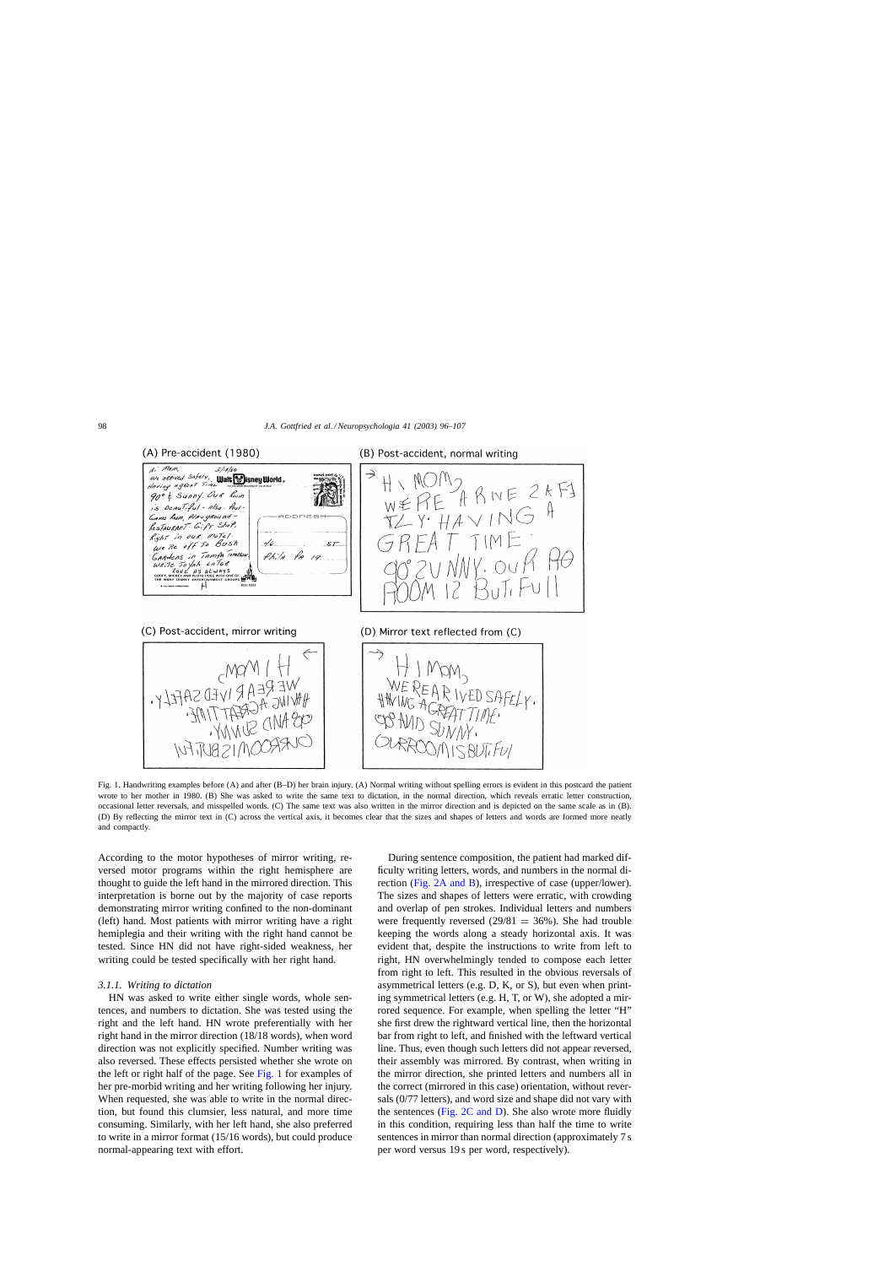<span id="page-2-0"></span>

Fig. 1. Handwriting examples before (A) and after (B–D) her brain injury. (A) Normal writing without spelling errors is evident in this postcard the patient wrote to her mother in 1980. (B) She was asked to write the same text to dictation, in the normal direction, which reveals erratic letter construction, occasional letter reversals, and misspelled words. (C) The same text was also written in the mirror direction and is depicted on the same scale as in (B). (D) By reflecting the mirror text in (C) across the vertical axis, it becomes clear that the sizes and shapes of letters and words are formed more neatly and compactly.

According to the motor hypotheses of mirror writing, reversed motor programs within the right hemisphere are thought to guide the left hand in the mirrored direction. This interpretation is borne out by the majority of case reports demonstrating mirror writing confined to the non-dominant (left) hand. Most patients with mirror writing have a right hemiplegia and their writing with the right hand cannot be tested. Since HN did not have right-sided weakness, her writing could be tested specifically with her right hand.

## *3.1.1. Writing to dictation*

HN was asked to write either single words, whole sentences, and numbers to dictation. She was tested using the right and the left hand. HN wrote preferentially with her right hand in the mirror direction (18/18 words), when word direction was not explicitly specified. Number writing was also reversed. These effects persisted whether she wrote on the left or right half of the page. See Fig. 1 for examples of her pre-morbid writing and her writing following her injury. When requested, she was able to write in the normal direction, but found this clumsier, less natural, and more time consuming. Similarly, with her left hand, she also preferred to write in a mirror format (15/16 words), but could produce normal-appearing text with effort.

During sentence composition, the patient had marked difficulty writing letters, words, and numbers in the normal direction ([Fig. 2A and B\),](#page-3-0) irrespective of case (upper/lower). The sizes and shapes of letters were erratic, with crowding and overlap of pen strokes. Individual letters and numbers were frequently reversed  $(29/81 = 36%)$ . She had trouble keeping the words along a steady horizontal axis. It was evident that, despite the instructions to write from left to right, HN overwhelmingly tended to compose each letter from right to left. This resulted in the obvious reversals of asymmetrical letters (e.g. D, K, or S), but even when printing symmetrical letters (e.g. H, T, or W), she adopted a mirrored sequence. For example, when spelling the letter "H" she first drew the rightward vertical line, then the horizontal bar from right to left, and finished with the leftward vertical line. Thus, even though such letters did not appear reversed, their assembly was mirrored. By contrast, when writing in the mirror direction, she printed letters and numbers all in the correct (mirrored in this case) orientation, without reversals (0/77 letters), and word size and shape did not vary with the sentences [\(Fig. 2C and D\).](#page-3-0) She also wrote more fluidly in this condition, requiring less than half the time to write sentences in mirror than normal direction (approximately 7 s per word versus 19 s per word, respectively).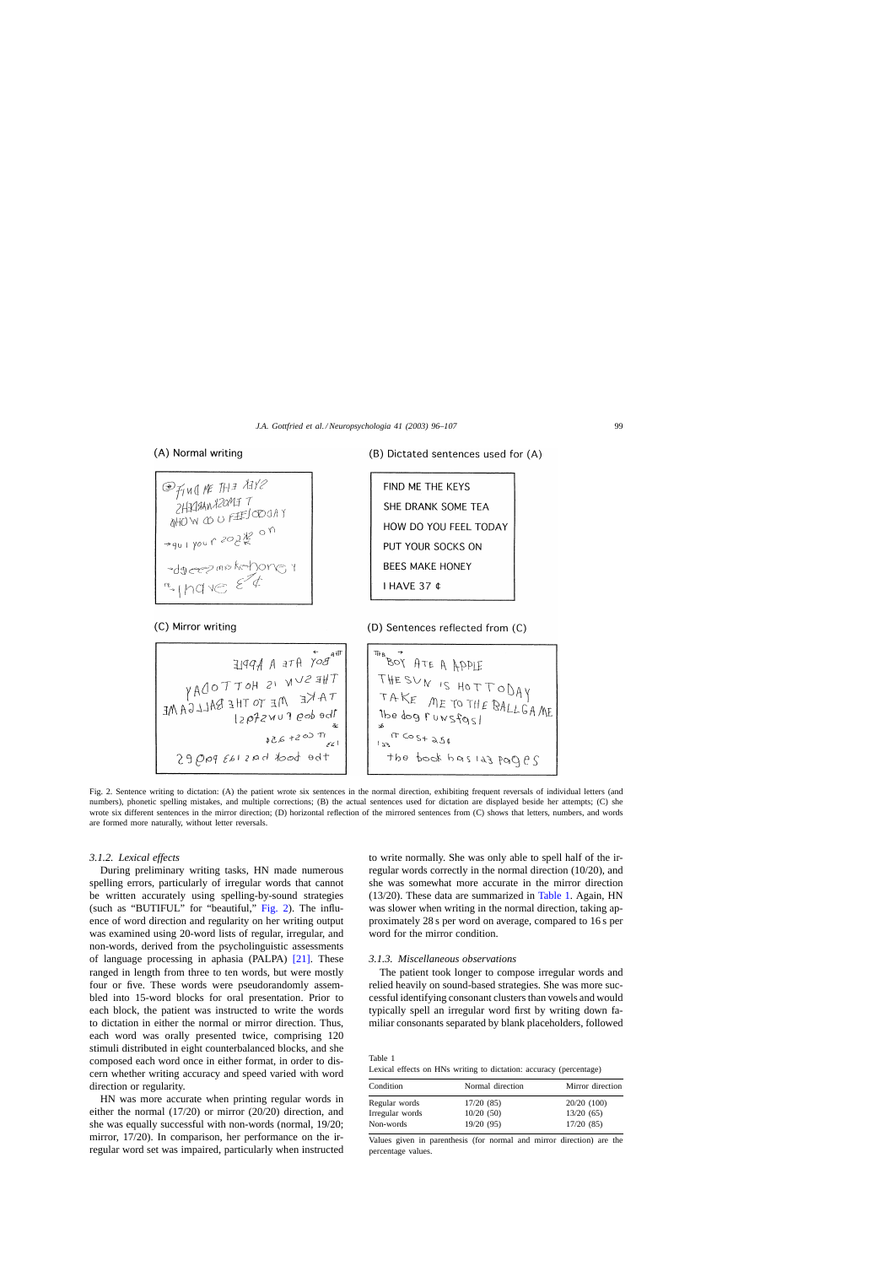(B) Dictated sentences used for (A)

# (A) Normal writing

<span id="page-3-0"></span>

Fig. 2. Sentence writing to dictation: (A) the patient wrote six sentences in the normal direction, exhibiting frequent reversals of individual letters (and numbers), phonetic spelling mistakes, and multiple corrections; (B) the actual sentences used for dictation are displayed beside her attempts; (C) she wrote six different sentences in the mirror direction; (D) horizontal reflection of the mirrored sentences from (C) shows that letters, numbers, and words are formed more naturally, without letter reversals.

## *3.1.2. Lexical effects*

During preliminary writing tasks, HN made numerous spelling errors, particularly of irregular words that cannot be written accurately using spelling-by-sound strategies (such as "BUTIFUL" for "beautiful," Fig. 2). The influence of word direction and regularity on her writing output was examined using 20-word lists of regular, irregular, and non-words, derived from the psycholinguistic assessments of language processing in aphasia (PALPA) [\[21\].](#page-11-0) These ranged in length from three to ten words, but were mostly four or five. These words were pseudorandomly assembled into 15-word blocks for oral presentation. Prior to each block, the patient was instructed to write the words to dictation in either the normal or mirror direction. Thus, each word was orally presented twice, comprising 120 stimuli distributed in eight counterbalanced blocks, and she composed each word once in either format, in order to discern whether writing accuracy and speed varied with word direction or regularity.

HN was more accurate when printing regular words in either the normal (17/20) or mirror (20/20) direction, and she was equally successful with non-words (normal, 19/20; mirror, 17/20). In comparison, her performance on the irregular word set was impaired, particularly when instructed to write normally. She was only able to spell half of the irregular words correctly in the normal direction (10/20), and she was somewhat more accurate in the mirror direction (13/20). These data are summarized in Table 1. Again, HN was slower when writing in the normal direction, taking approximately 28 s per word on average, compared to 16 s per word for the mirror condition.

### *3.1.3. Miscellaneous observations*

The patient took longer to compose irregular words and relied heavily on sound-based strategies. She was more successful identifying consonant clusters than vowels and would typically spell an irregular word first by writing down familiar consonants separated by blank placeholders, followed

| Table 1                                                            |  |  |  |
|--------------------------------------------------------------------|--|--|--|
| Lexical effects on HNs writing to dictation: accuracy (percentage) |  |  |  |

| Condition       | Normal direction | Mirror direction |  |
|-----------------|------------------|------------------|--|
| Regular words   | 17/20(85)        | 20/20(100)       |  |
| Irregular words | 10/20(50)        | 13/20(65)        |  |
| Non-words       | 19/20 (95)       | 17/20(85)        |  |

Values given in parenthesis (for normal and mirror direction) are the percentage values.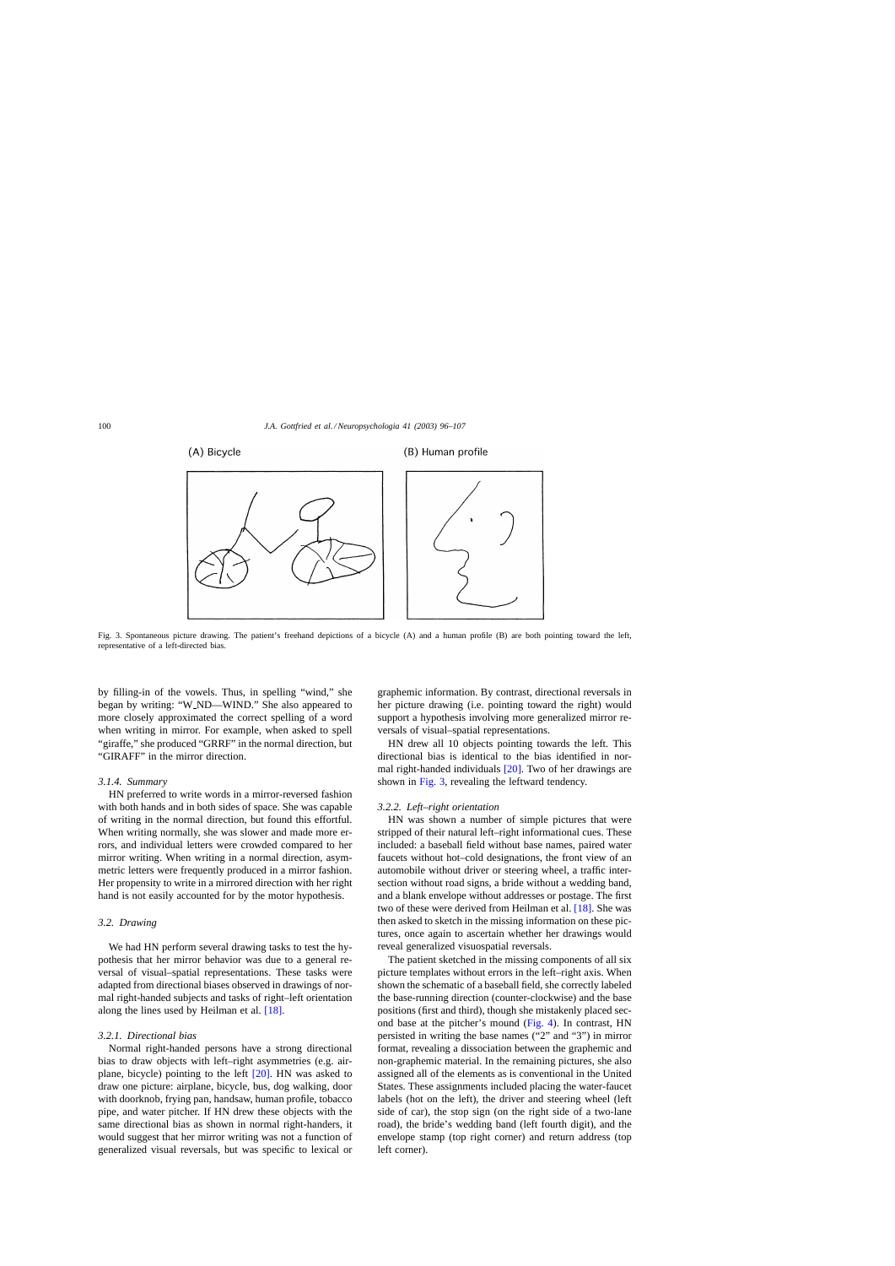

Fig. 3. Spontaneous picture drawing. The patient's freehand depictions of a bicycle (A) and a human profile (B) are both pointing toward the left, representative of a left-directed bias.

by filling-in of the vowels. Thus, in spelling "wind," she began by writing: "W ND—WIND." She also appeared to more closely approximated the correct spelling of a word when writing in mirror. For example, when asked to spell "giraffe," she produced "GRRF" in the normal direction, but "GIRAFF" in the mirror direction.

## *3.1.4. Summary*

HN preferred to write words in a mirror-reversed fashion with both hands and in both sides of space. She was capable of writing in the normal direction, but found this effortful. When writing normally, she was slower and made more errors, and individual letters were crowded compared to her mirror writing. When writing in a normal direction, asymmetric letters were frequently produced in a mirror fashion. Her propensity to write in a mirrored direction with her right hand is not easily accounted for by the motor hypothesis.

## *3.2. Drawing*

We had HN perform several drawing tasks to test the hypothesis that her mirror behavior was due to a general reversal of visual–spatial representations. These tasks were adapted from directional biases observed in drawings of normal right-handed subjects and tasks of right–left orientation along the lines used by Heilman et al. [\[18\].](#page-11-0)

## *3.2.1. Directional bias*

Normal right-handed persons have a strong directional bias to draw objects with left–right asymmetries (e.g. airplane, bicycle) pointing to the left [\[20\].](#page-11-0) HN was asked to draw one picture: airplane, bicycle, bus, dog walking, door with doorknob, frying pan, handsaw, human profile, tobacco pipe, and water pitcher. If HN drew these objects with the same directional bias as shown in normal right-handers, it would suggest that her mirror writing was not a function of generalized visual reversals, but was specific to lexical or

graphemic information. By contrast, directional reversals in her picture drawing (i.e. pointing toward the right) would support a hypothesis involving more generalized mirror reversals of visual–spatial representations.

HN drew all 10 objects pointing towards the left. This directional bias is identical to the bias identified in normal right-handed individuals [\[20\].](#page-11-0) Two of her drawings are shown in Fig. 3, revealing the leftward tendency.

## *3.2.2. Left–right orientation*

HN was shown a number of simple pictures that were stripped of their natural left–right informational cues. These included: a baseball field without base names, paired water faucets without hot–cold designations, the front view of an automobile without driver or steering wheel, a traffic intersection without road signs, a bride without a wedding band, and a blank envelope without addresses or postage. The first two of these were derived from Heilman et al. [\[18\]. S](#page-11-0)he was then asked to sketch in the missing information on these pictures, once again to ascertain whether her drawings would reveal generalized visuospatial reversals.

The patient sketched in the missing components of all six picture templates without errors in the left–right axis. When shown the schematic of a baseball field, she correctly labeled the base-running direction (counter-clockwise) and the base positions (first and third), though she mistakenly placed second base at the pitcher's mound [\(Fig. 4\).](#page-5-0) In contrast, HN persisted in writing the base names ("2" and "3") in mirror format, revealing a dissociation between the graphemic and non-graphemic material. In the remaining pictures, she also assigned all of the elements as is conventional in the United States. These assignments included placing the water-faucet labels (hot on the left), the driver and steering wheel (left side of car), the stop sign (on the right side of a two-lane road), the bride's wedding band (left fourth digit), and the envelope stamp (top right corner) and return address (top left corner).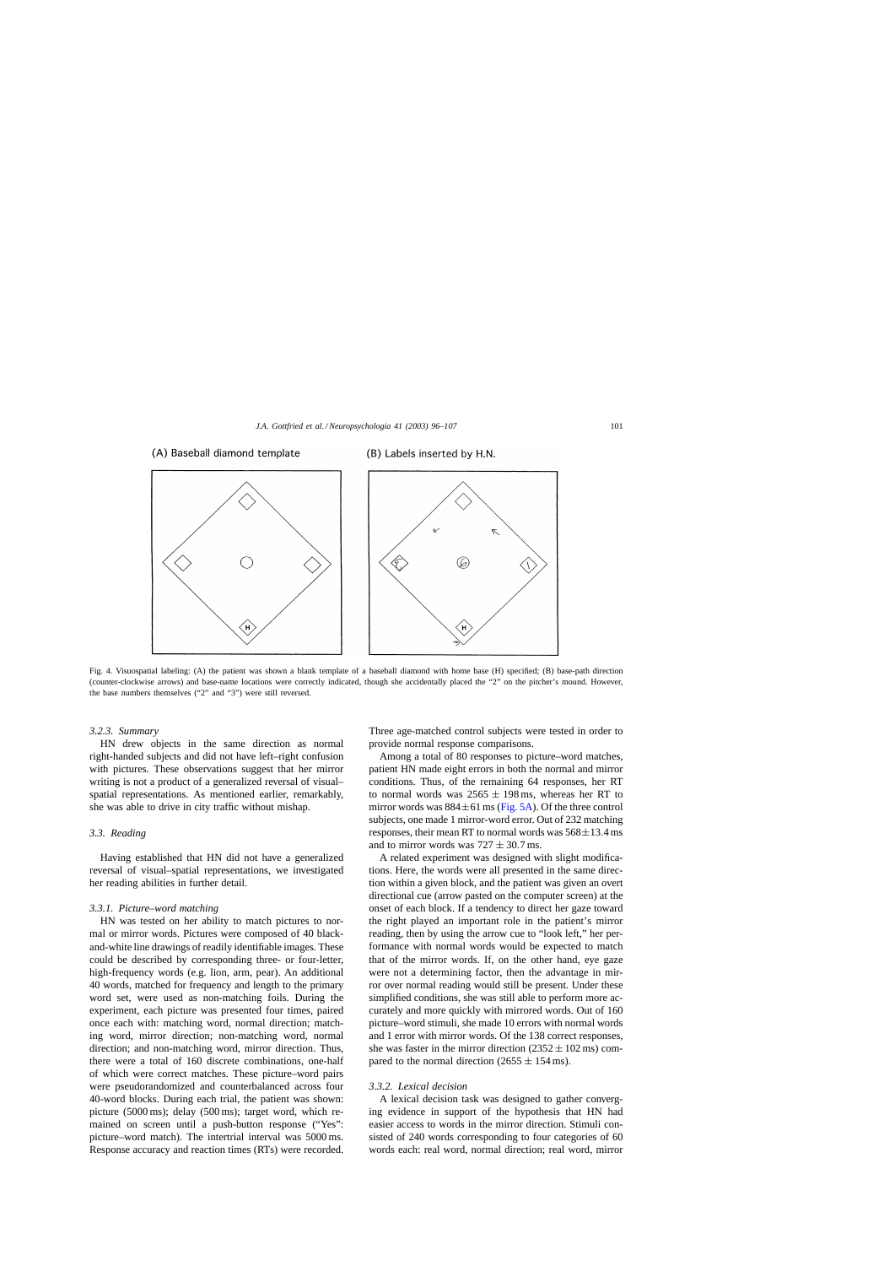## (A) Baseball diamond template

## (B) Labels inserted by H.N.

<span id="page-5-0"></span>

Fig. 4. Visuospatial labeling: (A) the patient was shown a blank template of a baseball diamond with home base (H) specified; (B) base-path direction (counter-clockwise arrows) and base-name locations were correctly indicated, though she accidentally placed the "2" on the pitcher's mound. However, the base numbers themselves ("2" and "3") were still reversed.

# *3.2.3. Summary*

HN drew objects in the same direction as normal right-handed subjects and did not have left–right confusion with pictures. These observations suggest that her mirror writing is not a product of a generalized reversal of visual– spatial representations. As mentioned earlier, remarkably, she was able to drive in city traffic without mishap.

# *3.3. Reading*

Having established that HN did not have a generalized reversal of visual–spatial representations, we investigated her reading abilities in further detail.

#### *3.3.1. Picture–word matching*

HN was tested on her ability to match pictures to normal or mirror words. Pictures were composed of 40 blackand-white line drawings of readily identifiable images. These could be described by corresponding three- or four-letter, high-frequency words (e.g. lion, arm, pear). An additional 40 words, matched for frequency and length to the primary word set, were used as non-matching foils. During the experiment, each picture was presented four times, paired once each with: matching word, normal direction; matching word, mirror direction; non-matching word, normal direction; and non-matching word, mirror direction. Thus, there were a total of 160 discrete combinations, one-half of which were correct matches. These picture–word pairs were pseudorandomized and counterbalanced across four 40-word blocks. During each trial, the patient was shown: picture (5000 ms); delay (500 ms); target word, which remained on screen until a push-button response ("Yes": picture–word match). The intertrial interval was 5000 ms. Response accuracy and reaction times (RTs) were recorded.

Three age-matched control subjects were tested in order to provide normal response comparisons.

Among a total of 80 responses to picture–word matches, patient HN made eight errors in both the normal and mirror conditions. Thus, of the remaining 64 responses, her RT to normal words was  $2565 \pm 198$  ms, whereas her RT to mirror words was  $884 \pm 61$  ms [\(Fig. 5A\).](#page-6-0) Of the three control subjects, one made 1 mirror-word error. Out of 232 matching responses, their mean RT to normal words was  $568 \pm 13.4$  ms and to mirror words was  $727 \pm 30.7$  ms.

A related experiment was designed with slight modifications. Here, the words were all presented in the same direction within a given block, and the patient was given an overt directional cue (arrow pasted on the computer screen) at the onset of each block. If a tendency to direct her gaze toward the right played an important role in the patient's mirror reading, then by using the arrow cue to "look left," her performance with normal words would be expected to match that of the mirror words. If, on the other hand, eye gaze were not a determining factor, then the advantage in mirror over normal reading would still be present. Under these simplified conditions, she was still able to perform more accurately and more quickly with mirrored words. Out of 160 picture–word stimuli, she made 10 errors with normal words and 1 error with mirror words. Of the 138 correct responses, she was faster in the mirror direction  $(2352 \pm 102 \text{ ms})$  compared to the normal direction ( $2655 \pm 154$  ms).

# *3.3.2. Lexical decision*

A lexical decision task was designed to gather converging evidence in support of the hypothesis that HN had easier access to words in the mirror direction. Stimuli consisted of 240 words corresponding to four categories of 60 words each: real word, normal direction; real word, mirror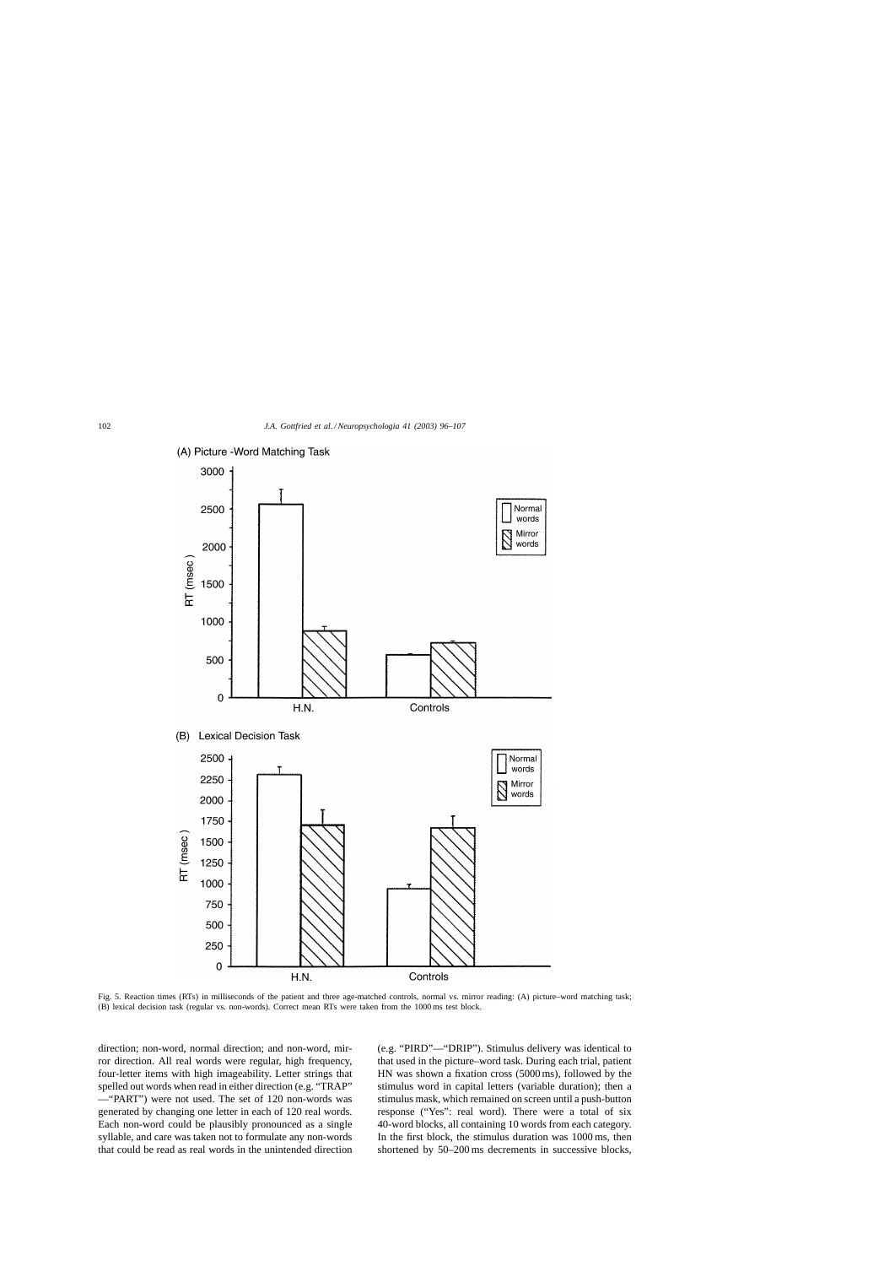<span id="page-6-0"></span>

(B) lexical decision task (regular vs. non-words). Correct mean RTs were taken from the 1000 ms test block.

direction; non-word, normal direction; and non-word, mirror direction. All real words were regular, high frequency, four-letter items with high imageability. Letter strings that spelled out words when read in either direction (e.g. "TRAP" —"PART") were not used. The set of 120 non-words was generated by changing one letter in each of 120 real words. Each non-word could be plausibly pronounced as a single syllable, and care was taken not to formulate any non-words that could be read as real words in the unintended direction (e.g. "PIRD"—"DRIP"). Stimulus delivery was identical to that used in the picture–word task. During each trial, patient HN was shown a fixation cross (5000 ms), followed by the stimulus word in capital letters (variable duration); then a stimulus mask, which remained on screen until a push-button response ("Yes": real word). There were a total of six 40-word blocks, all containing 10 words from each category. In the first block, the stimulus duration was 1000 ms, then shortened by 50–200 ms decrements in successive blocks,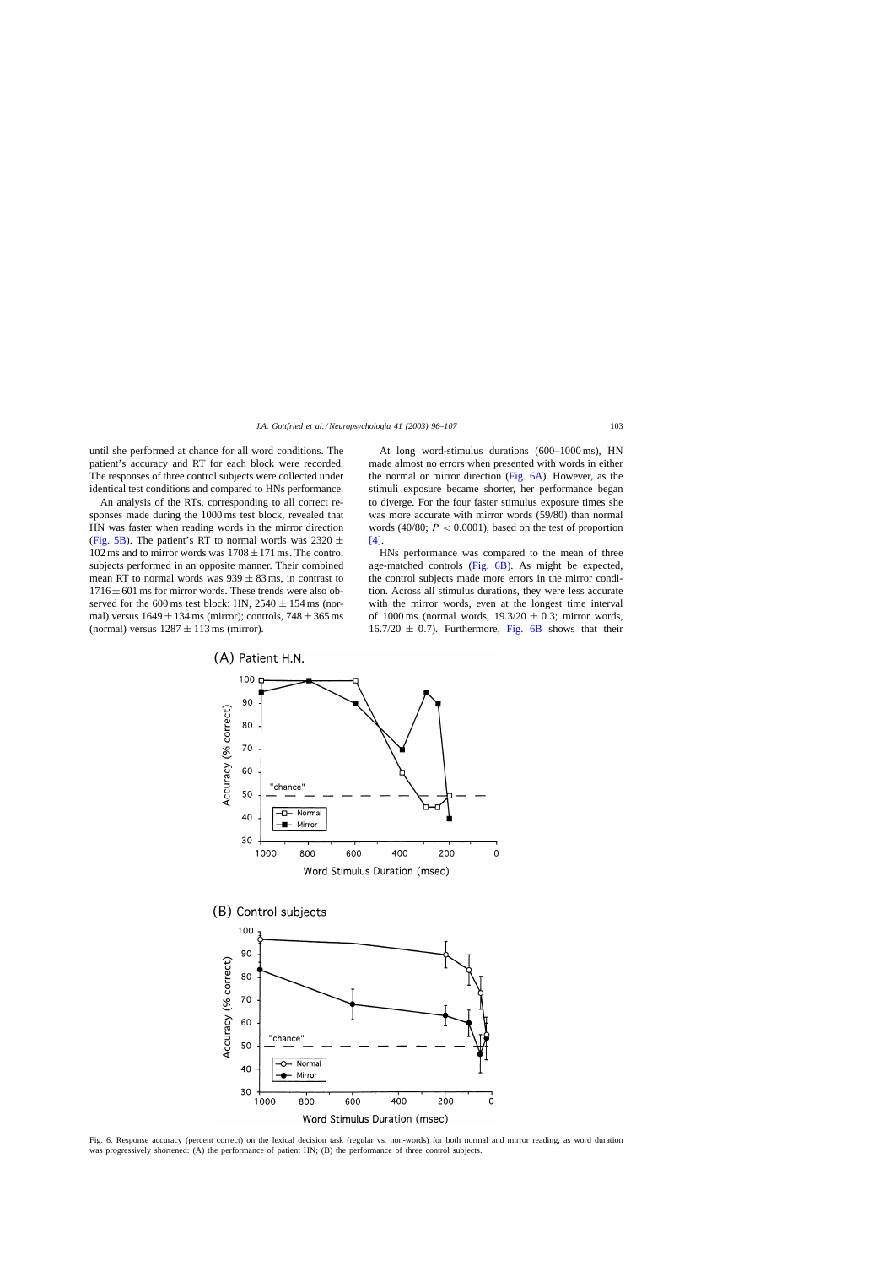until she performed at chance for all word conditions. The patient's accuracy and RT for each block were recorded. The responses of three control subjects were collected under identical test conditions and compared to HNs performance.

An analysis of the RTs, corresponding to all correct responses made during the 1000 ms test block, revealed that HN was faster when reading words in the mirror direction ([Fig. 5B\).](#page-6-0) The patient's RT to normal words was  $2320 \pm$ 102 ms and to mirror words was  $1708 \pm 171$  ms. The control subjects performed in an opposite manner. Their combined mean RT to normal words was  $939 \pm 83$  ms, in contrast to  $1716 \pm 601$  ms for mirror words. These trends were also observed for the 600 ms test block: HN,  $2540 \pm 154$  ms (normal) versus  $1649 \pm 134$  ms (mirror); controls,  $748 \pm 365$  ms (normal) versus  $1287 \pm 113$  ms (mirror).

At long word-stimulus durations (600–1000 ms), HN made almost no errors when presented with words in either the normal or mirror direction (Fig. 6A). However, as the stimuli exposure became shorter, her performance began to diverge. For the four faster stimulus exposure times she was more accurate with mirror words (59/80) than normal words (40/80;  $P < 0.0001$ ), based on the test of proportion [\[4\].](#page-10-0)

HNs performance was compared to the mean of three age-matched controls (Fig. 6B). As might be expected, the control subjects made more errors in the mirror condition. Across all stimulus durations, they were less accurate with the mirror words, even at the longest time interval of 1000 ms (normal words,  $19.3/20 \pm 0.3$ ; mirror words,  $16.7/20 \pm 0.7$ ). Furthermore, Fig. 6B shows that their



Fig. 6. Response accuracy (percent correct) on the lexical decision task (regular vs. non-words) for both normal and mirror reading, as word duration was progressively shortened: (A) the performance of patient HN; (B) the performance of three control subjects.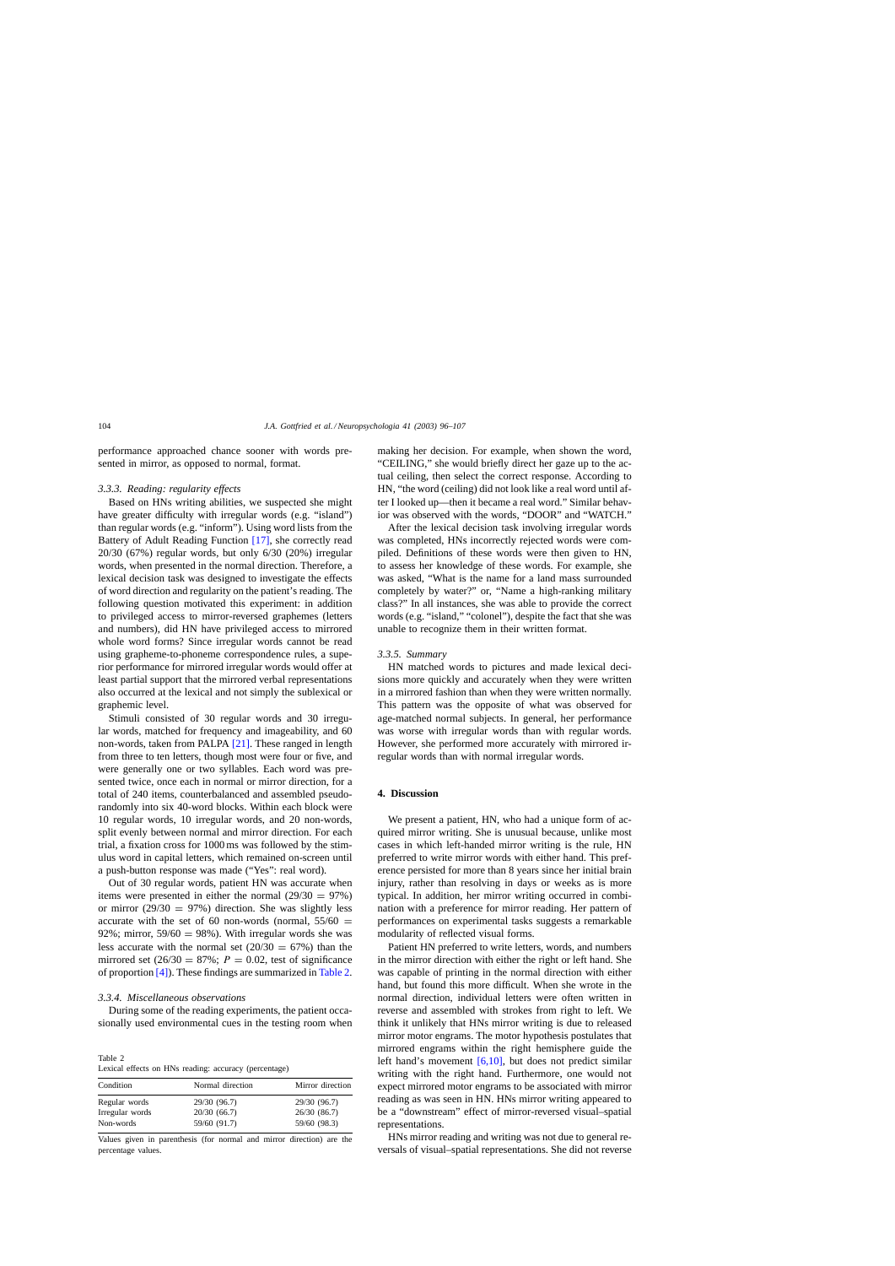performance approached chance sooner with words presented in mirror, as opposed to normal, format.

#### *3.3.3. Reading: regularity effects*

Based on HNs writing abilities, we suspected she might have greater difficulty with irregular words (e.g. "island") than regular words (e.g. "inform"). Using word lists from the Battery of Adult Reading Function [\[17\],](#page-11-0) she correctly read 20/30 (67%) regular words, but only 6/30 (20%) irregular words, when presented in the normal direction. Therefore, a lexical decision task was designed to investigate the effects of word direction and regularity on the patient's reading. The following question motivated this experiment: in addition to privileged access to mirror-reversed graphemes (letters and numbers), did HN have privileged access to mirrored whole word forms? Since irregular words cannot be read using grapheme-to-phoneme correspondence rules, a superior performance for mirrored irregular words would offer at least partial support that the mirrored verbal representations also occurred at the lexical and not simply the sublexical or graphemic level.

Stimuli consisted of 30 regular words and 30 irregular words, matched for frequency and imageability, and 60 non-words, taken from PALPA [\[21\].](#page-11-0) These ranged in length from three to ten letters, though most were four or five, and were generally one or two syllables. Each word was presented twice, once each in normal or mirror direction, for a total of 240 items, counterbalanced and assembled pseudorandomly into six 40-word blocks. Within each block were 10 regular words, 10 irregular words, and 20 non-words, split evenly between normal and mirror direction. For each trial, a fixation cross for 1000 ms was followed by the stimulus word in capital letters, which remained on-screen until a push-button response was made ("Yes": real word).

Out of 30 regular words, patient HN was accurate when items were presented in either the normal  $(29/30 = 97%)$ or mirror (29/30 = 97%) direction. She was slightly less accurate with the set of 60 non-words (normal,  $55/60 =$ 92%; mirror,  $59/60 = 98%$ ). With irregular words she was less accurate with the normal set  $(20/30 = 67%)$  than the mirrored set (26/30 = 87%;  $P = 0.02$ , test of significance of proportion [\[4\]\).](#page-10-0) These findings are summarized in Table 2.

## *3.3.4. Miscellaneous observations*

During some of the reading experiments, the patient occasionally used environmental cues in the testing room when

Table 2 Lexical effects on HNs reading: accuracy (percentage)

| Condition       | Normal direction | Mirror direction |
|-----------------|------------------|------------------|
| Regular words   | 29/30 (96.7)     | 29/30 (96.7)     |
| Irregular words | 20/30(66.7)      | 26/30(86.7)      |
| Non-words       | 59/60 (91.7)     | 59/60 (98.3)     |

Values given in parenthesis (for normal and mirror direction) are the percentage values.

making her decision. For example, when shown the word, "CEILING," she would briefly direct her gaze up to the actual ceiling, then select the correct response. According to HN, "the word (ceiling) did not look like a real word until after I looked up—then it became a real word." Similar behavior was observed with the words, "DOOR" and "WATCH."

After the lexical decision task involving irregular words was completed, HNs incorrectly rejected words were compiled. Definitions of these words were then given to HN, to assess her knowledge of these words. For example, she was asked, "What is the name for a land mass surrounded completely by water?" or, "Name a high-ranking military class?" In all instances, she was able to provide the correct words (e.g. "island," "colonel"), despite the fact that she was unable to recognize them in their written format.

# *3.3.5. Summary*

HN matched words to pictures and made lexical decisions more quickly and accurately when they were written in a mirrored fashion than when they were written normally. This pattern was the opposite of what was observed for age-matched normal subjects. In general, her performance was worse with irregular words than with regular words. However, she performed more accurately with mirrored irregular words than with normal irregular words.

## **4. Discussion**

We present a patient, HN, who had a unique form of acquired mirror writing. She is unusual because, unlike most cases in which left-handed mirror writing is the rule, HN preferred to write mirror words with either hand. This preference persisted for more than 8 years since her initial brain injury, rather than resolving in days or weeks as is more typical. In addition, her mirror writing occurred in combination with a preference for mirror reading. Her pattern of performances on experimental tasks suggests a remarkable modularity of reflected visual forms.

Patient HN preferred to write letters, words, and numbers in the mirror direction with either the right or left hand. She was capable of printing in the normal direction with either hand, but found this more difficult. When she wrote in the normal direction, individual letters were often written in reverse and assembled with strokes from right to left. We think it unlikely that HNs mirror writing is due to released mirror motor engrams. The motor hypothesis postulates that mirrored engrams within the right hemisphere guide the left hand's movement [\[6,10\],](#page-10-0) but does not predict similar writing with the right hand. Furthermore, one would not expect mirrored motor engrams to be associated with mirror reading as was seen in HN. HNs mirror writing appeared to be a "downstream" effect of mirror-reversed visual–spatial representations.

HNs mirror reading and writing was not due to general reversals of visual–spatial representations. She did not reverse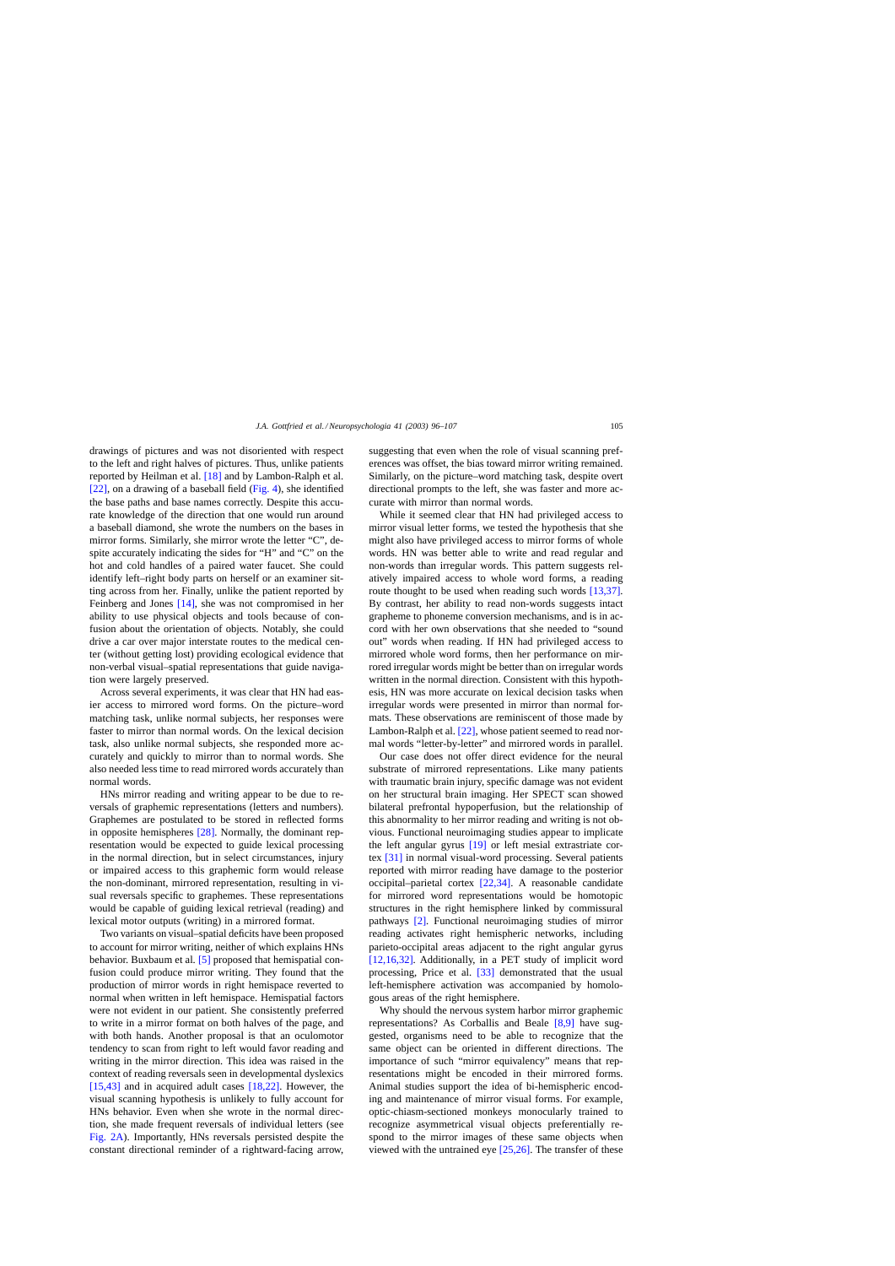drawings of pictures and was not disoriented with respect to the left and right halves of pictures. Thus, unlike patients reported by Heilman et al. [\[18\]](#page-11-0) and by Lambon-Ralph et al. [\[22\],](#page-11-0) on a drawing of a baseball field ([Fig. 4\),](#page-5-0) she identified the base paths and base names correctly. Despite this accurate knowledge of the direction that one would run around a baseball diamond, she wrote the numbers on the bases in mirror forms. Similarly, she mirror wrote the letter "C", despite accurately indicating the sides for "H" and "C" on the hot and cold handles of a paired water faucet. She could identify left–right body parts on herself or an examiner sitting across from her. Finally, unlike the patient reported by Feinberg and Jones [\[14\],](#page-10-0) she was not compromised in her ability to use physical objects and tools because of confusion about the orientation of objects. Notably, she could drive a car over major interstate routes to the medical center (without getting lost) providing ecological evidence that non-verbal visual–spatial representations that guide navigation were largely preserved.

Across several experiments, it was clear that HN had easier access to mirrored word forms. On the picture–word matching task, unlike normal subjects, her responses were faster to mirror than normal words. On the lexical decision task, also unlike normal subjects, she responded more accurately and quickly to mirror than to normal words. She also needed less time to read mirrored words accurately than normal words.

HNs mirror reading and writing appear to be due to reversals of graphemic representations (letters and numbers). Graphemes are postulated to be stored in reflected forms in opposite hemispheres [\[28\].](#page-11-0) Normally, the dominant representation would be expected to guide lexical processing in the normal direction, but in select circumstances, injury or impaired access to this graphemic form would release the non-dominant, mirrored representation, resulting in visual reversals specific to graphemes. These representations would be capable of guiding lexical retrieval (reading) and lexical motor outputs (writing) in a mirrored format.

Two variants on visual–spatial deficits have been proposed to account for mirror writing, neither of which explains HNs behavior. Buxbaum et al. [\[5\]](#page-10-0) proposed that hemispatial confusion could produce mirror writing. They found that the production of mirror words in right hemispace reverted to normal when written in left hemispace. Hemispatial factors were not evident in our patient. She consistently preferred to write in a mirror format on both halves of the page, and with both hands. Another proposal is that an oculomotor tendency to scan from right to left would favor reading and writing in the mirror direction. This idea was raised in the context of reading reversals seen in developmental dyslexics [\[15,43\]](#page-10-0) and in acquired adult cases [\[18,22\].](#page-11-0) However, the visual scanning hypothesis is unlikely to fully account for HNs behavior. Even when she wrote in the normal direction, she made frequent reversals of individual letters (see [Fig. 2A\).](#page-3-0) Importantly, HNs reversals persisted despite the constant directional reminder of a rightward-facing arrow,

suggesting that even when the role of visual scanning preferences was offset, the bias toward mirror writing remained. Similarly, on the picture–word matching task, despite overt directional prompts to the left, she was faster and more accurate with mirror than normal words.

While it seemed clear that HN had privileged access to mirror visual letter forms, we tested the hypothesis that she might also have privileged access to mirror forms of whole words. HN was better able to write and read regular and non-words than irregular words. This pattern suggests relatively impaired access to whole word forms, a reading route thought to be used when reading such words [\[13,37\].](#page-10-0) By contrast, her ability to read non-words suggests intact grapheme to phoneme conversion mechanisms, and is in accord with her own observations that she needed to "sound out" words when reading. If HN had privileged access to mirrored whole word forms, then her performance on mirrored irregular words might be better than on irregular words written in the normal direction. Consistent with this hypothesis, HN was more accurate on lexical decision tasks when irregular words were presented in mirror than normal formats. These observations are reminiscent of those made by Lambon-Ralph et al. [\[22\],](#page-11-0) whose patient seemed to read normal words "letter-by-letter" and mirrored words in parallel.

Our case does not offer direct evidence for the neural substrate of mirrored representations. Like many patients with traumatic brain injury, specific damage was not evident on her structural brain imaging. Her SPECT scan showed bilateral prefrontal hypoperfusion, but the relationship of this abnormality to her mirror reading and writing is not obvious. Functional neuroimaging studies appear to implicate the left angular gyrus [\[19\]](#page-11-0) or left mesial extrastriate cortex [\[31\]](#page-11-0) in normal visual-word processing. Several patients reported with mirror reading have damage to the posterior occipital–parietal cortex [\[22,34\].](#page-11-0) A reasonable candidate for mirrored word representations would be homotopic structures in the right hemisphere linked by commissural pathways [\[2\].](#page-10-0) Functional neuroimaging studies of mirror reading activates right hemispheric networks, including parieto-occipital areas adjacent to the right angular gyrus [\[12,16,32\].](#page-10-0) Additionally, in a PET study of implicit word processing, Price et al. [\[33\]](#page-11-0) demonstrated that the usual left-hemisphere activation was accompanied by homologous areas of the right hemisphere.

Why should the nervous system harbor mirror graphemic representations? As Corballis and Beale [\[8,9\]](#page-10-0) have suggested, organisms need to be able to recognize that the same object can be oriented in different directions. The importance of such "mirror equivalency" means that representations might be encoded in their mirrored forms. Animal studies support the idea of bi-hemispheric encoding and maintenance of mirror visual forms. For example, optic-chiasm-sectioned monkeys monocularly trained to recognize asymmetrical visual objects preferentially respond to the mirror images of these same objects when viewed with the untrained eye [\[25,26\].](#page-11-0) The transfer of these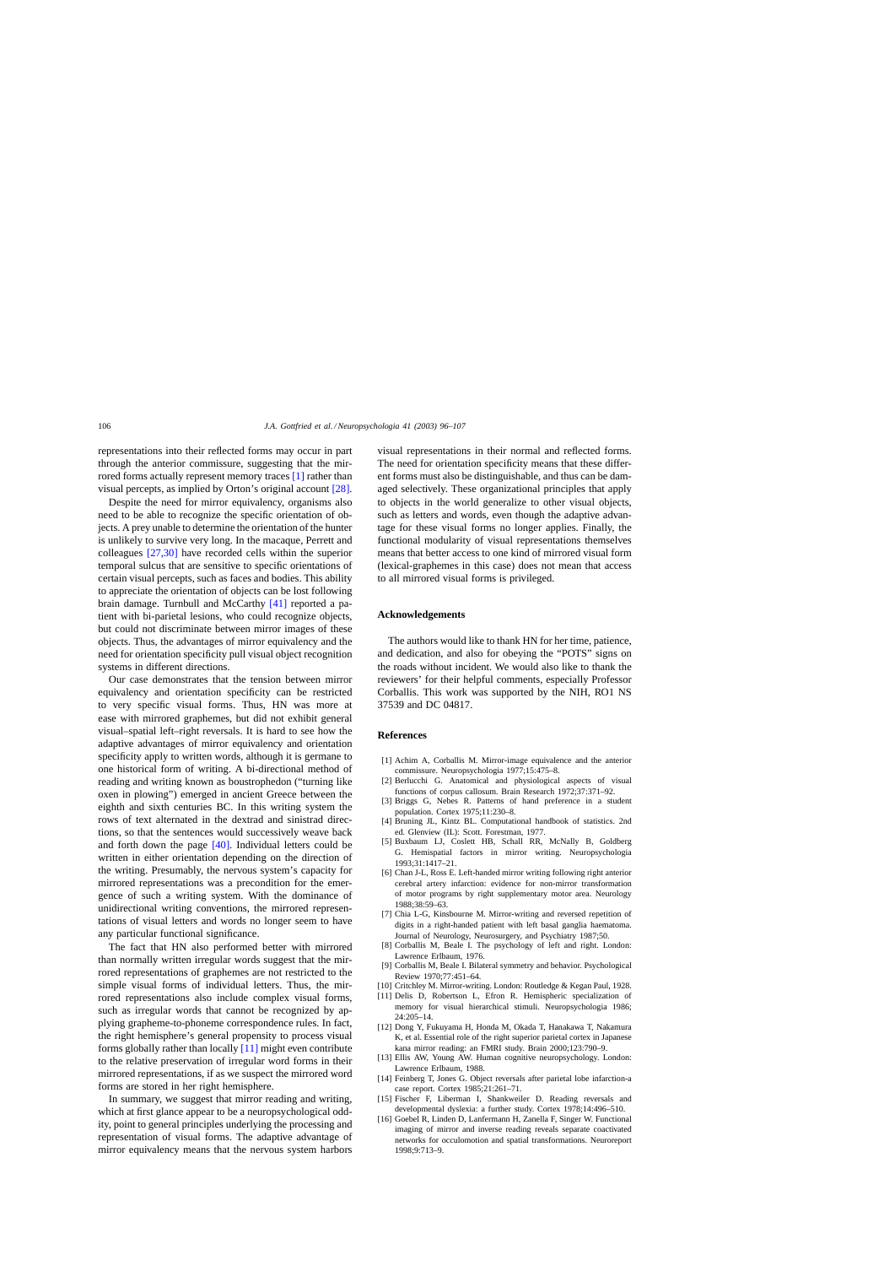<span id="page-10-0"></span>representations into their reflected forms may occur in part through the anterior commissure, suggesting that the mirrored forms actually represent memory traces [1] rather than visual percepts, as implied by Orton's original account [\[28\].](#page-11-0)

Despite the need for mirror equivalency, organisms also need to be able to recognize the specific orientation of objects. A prey unable to determine the orientation of the hunter is unlikely to survive very long. In the macaque, Perrett and colleagues [\[27,30\]](#page-11-0) have recorded cells within the superior temporal sulcus that are sensitive to specific orientations of certain visual percepts, such as faces and bodies. This ability to appreciate the orientation of objects can be lost following brain damage. Turnbull and McCarthy [\[41\]](#page-11-0) reported a patient with bi-parietal lesions, who could recognize objects, but could not discriminate between mirror images of these objects. Thus, the advantages of mirror equivalency and the need for orientation specificity pull visual object recognition systems in different directions.

Our case demonstrates that the tension between mirror equivalency and orientation specificity can be restricted to very specific visual forms. Thus, HN was more at ease with mirrored graphemes, but did not exhibit general visual–spatial left–right reversals. It is hard to see how the adaptive advantages of mirror equivalency and orientation specificity apply to written words, although it is germane to one historical form of writing. A bi-directional method of reading and writing known as boustrophedon ("turning like oxen in plowing") emerged in ancient Greece between the eighth and sixth centuries BC. In this writing system the rows of text alternated in the dextrad and sinistrad directions, so that the sentences would successively weave back and forth down the page  $[40]$ . Individual letters could be written in either orientation depending on the direction of the writing. Presumably, the nervous system's capacity for mirrored representations was a precondition for the emergence of such a writing system. With the dominance of unidirectional writing conventions, the mirrored representations of visual letters and words no longer seem to have any particular functional significance.

The fact that HN also performed better with mirrored than normally written irregular words suggest that the mirrored representations of graphemes are not restricted to the simple visual forms of individual letters. Thus, the mirrored representations also include complex visual forms, such as irregular words that cannot be recognized by applying grapheme-to-phoneme correspondence rules. In fact, the right hemisphere's general propensity to process visual forms globally rather than locally [11] might even contribute to the relative preservation of irregular word forms in their mirrored representations, if as we suspect the mirrored word forms are stored in her right hemisphere.

In summary, we suggest that mirror reading and writing, which at first glance appear to be a neuropsychological oddity, point to general principles underlying the processing and representation of visual forms. The adaptive advantage of mirror equivalency means that the nervous system harbors

visual representations in their normal and reflected forms. The need for orientation specificity means that these different forms must also be distinguishable, and thus can be damaged selectively. These organizational principles that apply to objects in the world generalize to other visual objects, such as letters and words, even though the adaptive advantage for these visual forms no longer applies. Finally, the functional modularity of visual representations themselves means that better access to one kind of mirrored visual form (lexical-graphemes in this case) does not mean that access to all mirrored visual forms is privileged.

## **Acknowledgements**

The authors would like to thank HN for her time, patience, and dedication, and also for obeying the "POTS" signs on the roads without incident. We would also like to thank the reviewers' for their helpful comments, especially Professor Corballis. This work was supported by the NIH, RO1 NS 37539 and DC 04817.

## **References**

- [1] Achim A, Corballis M. Mirror-image equivalence and the anterior commissure. Neuropsychologia 1977;15:475–8.
- [2] Berlucchi G. Anatomical and physiological aspects of visual functions of corpus callosum. Brain Research 1972;37:371–92.
- [3] Briggs G, Nebes R. Patterns of hand preference in a student population. Cortex 1975;11:230–8.
- [4] Bruning JL, Kintz BL. Computational handbook of statistics. 2nd ed. Glenview (IL): Scott. Forestman, 1977.
- [5] Buxbaum LJ, Coslett HB, Schall RR, McNally B, Goldberg G. Hemispatial factors in mirror writing. Neuropsychologia 1993;31:1417–21.
- [6] Chan J-L, Ross E. Left-handed mirror writing following right anterior cerebral artery infarction: evidence for non-mirror transformation of motor programs by right supplementary motor area. Neurology 1988;38:59–63.
- [7] Chia L-G, Kinsbourne M. Mirror-writing and reversed repetition of digits in a right-handed patient with left basal ganglia haematoma. Journal of Neurology, Neurosurgery, and Psychiatry 1987;50.
- [8] Corballis M, Beale I. The psychology of left and right. London: Lawrence Erlbaum, 1976.
- [9] Corballis M, Beale I. Bilateral symmetry and behavior. Psychological Review 1970;77:451–64.
- [10] Critchley M. Mirror-writing. London: Routledge & Kegan Paul, 1928.
- [11] Delis D, Robertson L, Efron R. Hemispheric specialization of memory for visual hierarchical stimuli. Neuropsychologia 1986; 24:205–14.
- [12] Dong Y, Fukuyama H, Honda M, Okada T, Hanakawa T, Nakamura K, et al. Essential role of the right superior parietal cortex in Japanese kana mirror reading: an FMRI study. Brain 2000;123:790–9.
- [13] Ellis AW, Young AW. Human cognitive neuropsychology. London: Lawrence Erlbaum, 1988.
- [14] Feinberg T, Jones G. Object reversals after parietal lobe infarction-a case report. Cortex 1985;21:261–71.
- [15] Fischer F, Liberman I, Shankweiler D. Reading reversals and developmental dyslexia: a further study. Cortex 1978;14:496–510.
- [16] Goebel R, Linden D, Lanfermann H, Zanella F, Singer W. Functional imaging of mirror and inverse reading reveals separate coactivated networks for occulomotion and spatial transformations. Neuroreport 1998;9:713–9.